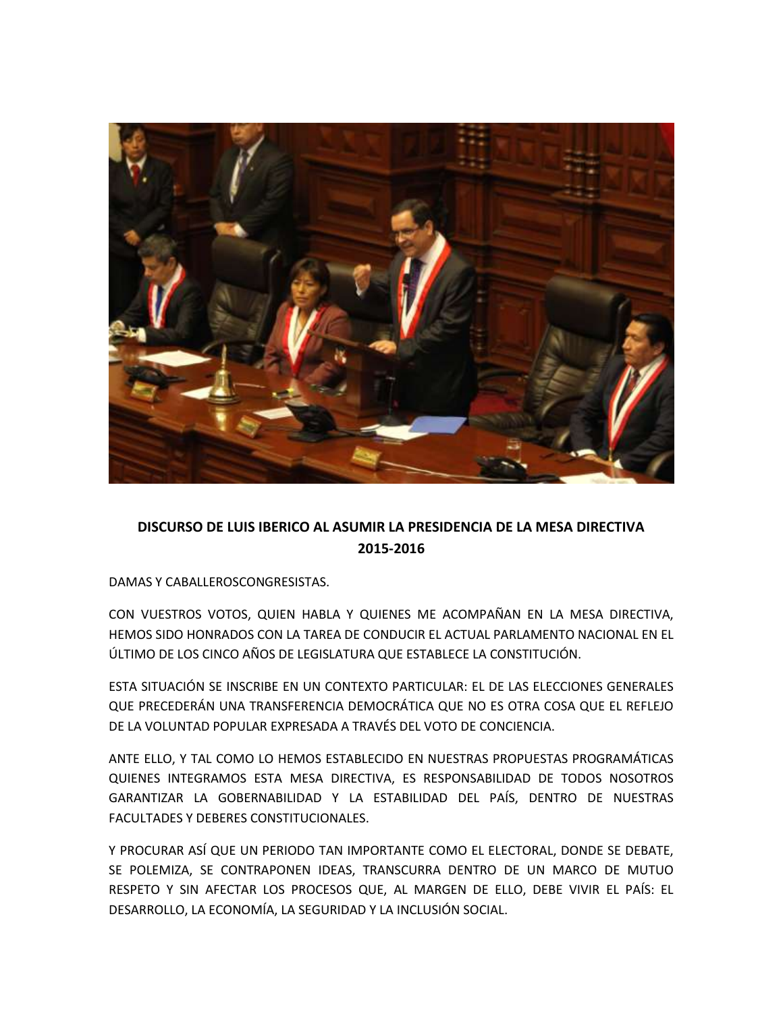

## **DISCURSO DE LUIS IBERICO AL ASUMIR LA PRESIDENCIA DE LA MESA DIRECTIVA 2015-2016**

DAMAS Y CABALLEROSCONGRESISTAS.

CON VUESTROS VOTOS, QUIEN HABLA Y QUIENES ME ACOMPAÑAN EN LA MESA DIRECTIVA, HEMOS SIDO HONRADOS CON LA TAREA DE CONDUCIR EL ACTUAL PARLAMENTO NACIONAL EN EL ÚLTIMO DE LOS CINCO AÑOS DE LEGISLATURA QUE ESTABLECE LA CONSTITUCIÓN.

ESTA SITUACIÓN SE INSCRIBE EN UN CONTEXTO PARTICULAR: EL DE LAS ELECCIONES GENERALES QUE PRECEDERÁN UNA TRANSFERENCIA DEMOCRÁTICA QUE NO ES OTRA COSA QUE EL REFLEJO DE LA VOLUNTAD POPULAR EXPRESADA A TRAVÉS DEL VOTO DE CONCIENCIA.

ANTE ELLO, Y TAL COMO LO HEMOS ESTABLECIDO EN NUESTRAS PROPUESTAS PROGRAMÁTICAS QUIENES INTEGRAMOS ESTA MESA DIRECTIVA, ES RESPONSABILIDAD DE TODOS NOSOTROS GARANTIZAR LA GOBERNABILIDAD Y LA ESTABILIDAD DEL PAÍS, DENTRO DE NUESTRAS FACULTADES Y DEBERES CONSTITUCIONALES.

Y PROCURAR ASÍ QUE UN PERIODO TAN IMPORTANTE COMO EL ELECTORAL, DONDE SE DEBATE, SE POLEMIZA, SE CONTRAPONEN IDEAS, TRANSCURRA DENTRO DE UN MARCO DE MUTUO RESPETO Y SIN AFECTAR LOS PROCESOS QUE, AL MARGEN DE ELLO, DEBE VIVIR EL PAÍS: EL DESARROLLO, LA ECONOMÍA, LA SEGURIDAD Y LA INCLUSIÓN SOCIAL.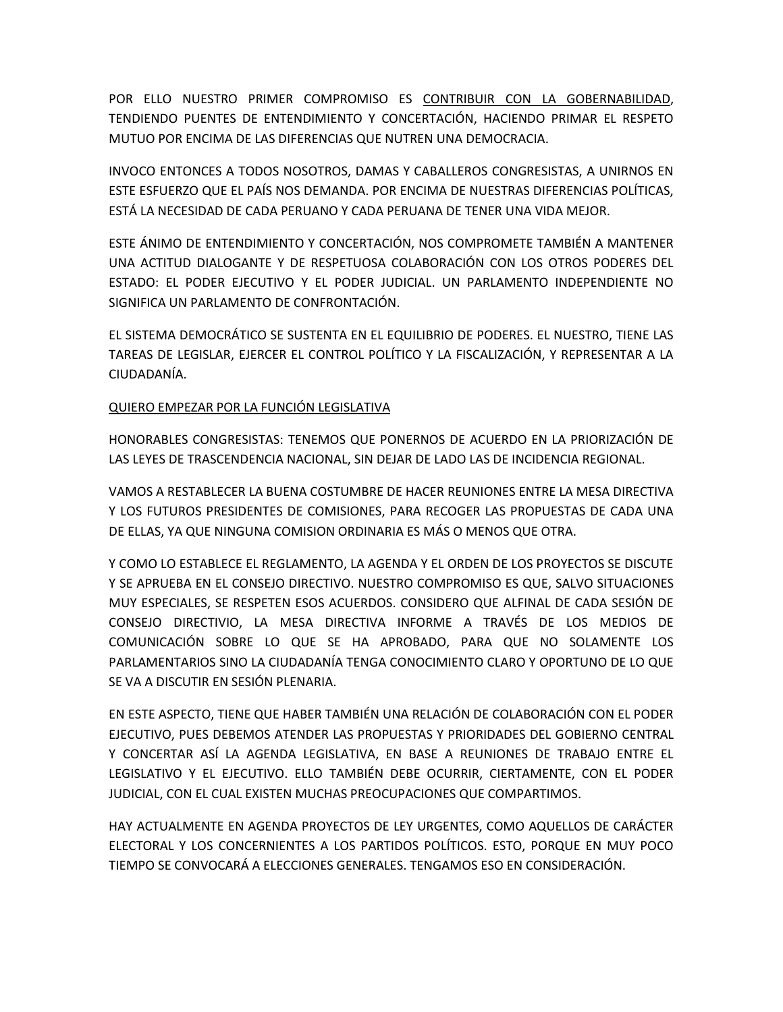POR ELLO NUESTRO PRIMER COMPROMISO ES CONTRIBUIR CON LA GOBERNABILIDAD, TENDIENDO PUENTES DE ENTENDIMIENTO Y CONCERTACIÓN, HACIENDO PRIMAR EL RESPETO MUTUO POR ENCIMA DE LAS DIFERENCIAS QUE NUTREN UNA DEMOCRACIA.

INVOCO ENTONCES A TODOS NOSOTROS, DAMAS Y CABALLEROS CONGRESISTAS, A UNIRNOS EN ESTE ESFUERZO QUE EL PAÍS NOS DEMANDA. POR ENCIMA DE NUESTRAS DIFERENCIAS POLÍTICAS, ESTÁ LA NECESIDAD DE CADA PERUANO Y CADA PERUANA DE TENER UNA VIDA MEJOR.

ESTE ÁNIMO DE ENTENDIMIENTO Y CONCERTACIÓN, NOS COMPROMETE TAMBIÉN A MANTENER UNA ACTITUD DIALOGANTE Y DE RESPETUOSA COLABORACIÓN CON LOS OTROS PODERES DEL ESTADO: EL PODER EJECUTIVO Y EL PODER JUDICIAL. UN PARLAMENTO INDEPENDIENTE NO SIGNIFICA UN PARLAMENTO DE CONFRONTACIÓN.

EL SISTEMA DEMOCRÁTICO SE SUSTENTA EN EL EQUILIBRIO DE PODERES. EL NUESTRO, TIENE LAS TAREAS DE LEGISLAR, EJERCER EL CONTROL POLÍTICO Y LA FISCALIZACIÓN, Y REPRESENTAR A LA CIUDADANÍA.

## QUIERO EMPEZAR POR LA FUNCIÓN LEGISLATIVA

HONORABLES CONGRESISTAS: TENEMOS QUE PONERNOS DE ACUERDO EN LA PRIORIZACIÓN DE LAS LEYES DE TRASCENDENCIA NACIONAL, SIN DEJAR DE LADO LAS DE INCIDENCIA REGIONAL.

VAMOS A RESTABLECER LA BUENA COSTUMBRE DE HACER REUNIONES ENTRE LA MESA DIRECTIVA Y LOS FUTUROS PRESIDENTES DE COMISIONES, PARA RECOGER LAS PROPUESTAS DE CADA UNA DE ELLAS, YA QUE NINGUNA COMISION ORDINARIA ES MÁS O MENOS QUE OTRA.

Y COMO LO ESTABLECE EL REGLAMENTO, LA AGENDA Y EL ORDEN DE LOS PROYECTOS SE DISCUTE Y SE APRUEBA EN EL CONSEJO DIRECTIVO. NUESTRO COMPROMISO ES QUE, SALVO SITUACIONES MUY ESPECIALES, SE RESPETEN ESOS ACUERDOS. CONSIDERO QUE ALFINAL DE CADA SESIÓN DE CONSEJO DIRECTIVIO, LA MESA DIRECTIVA INFORME A TRAVÉS DE LOS MEDIOS DE COMUNICACIÓN SOBRE LO QUE SE HA APROBADO, PARA QUE NO SOLAMENTE LOS PARLAMENTARIOS SINO LA CIUDADANÍA TENGA CONOCIMIENTO CLARO Y OPORTUNO DE LO QUE SE VA A DISCUTIR EN SESIÓN PLENARIA.

EN ESTE ASPECTO, TIENE QUE HABER TAMBIÉN UNA RELACIÓN DE COLABORACIÓN CON EL PODER EJECUTIVO, PUES DEBEMOS ATENDER LAS PROPUESTAS Y PRIORIDADES DEL GOBIERNO CENTRAL Y CONCERTAR ASÍ LA AGENDA LEGISLATIVA, EN BASE A REUNIONES DE TRABAJO ENTRE EL LEGISLATIVO Y EL EJECUTIVO. ELLO TAMBIÉN DEBE OCURRIR, CIERTAMENTE, CON EL PODER JUDICIAL, CON EL CUAL EXISTEN MUCHAS PREOCUPACIONES QUE COMPARTIMOS.

HAY ACTUALMENTE EN AGENDA PROYECTOS DE LEY URGENTES, COMO AQUELLOS DE CARÁCTER ELECTORAL Y LOS CONCERNIENTES A LOS PARTIDOS POLÍTICOS. ESTO, PORQUE EN MUY POCO TIEMPO SE CONVOCARÁ A ELECCIONES GENERALES. TENGAMOS ESO EN CONSIDERACIÓN.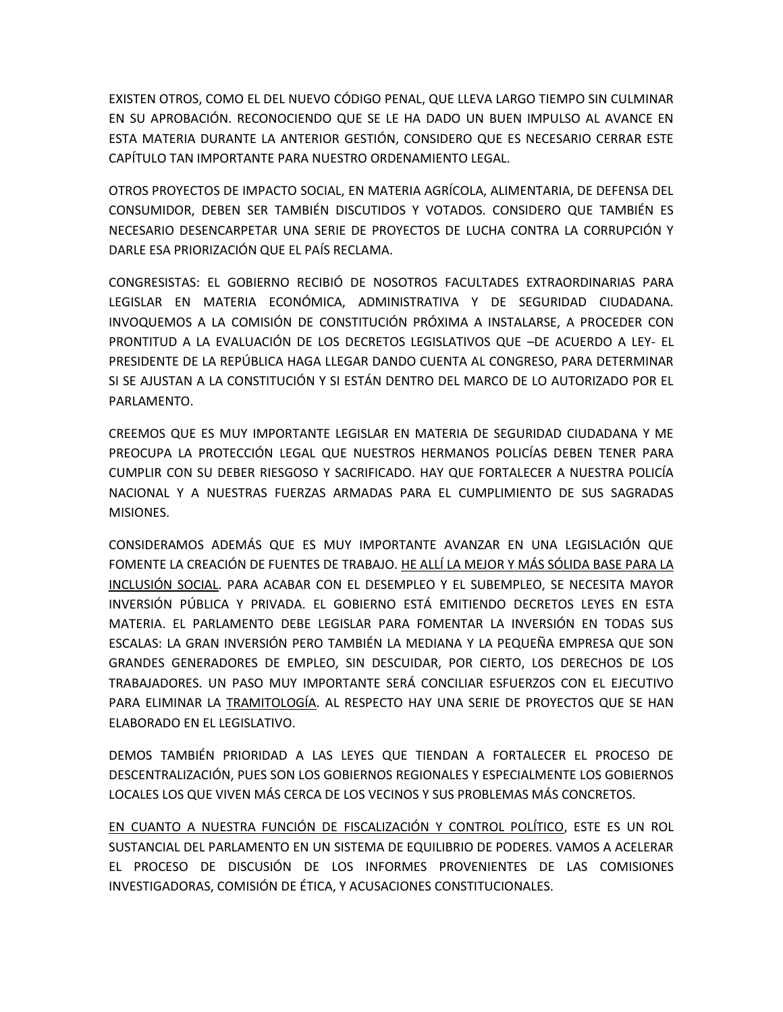EXISTEN OTROS, COMO EL DEL NUEVO CÓDIGO PENAL, QUE LLEVA LARGO TIEMPO SIN CULMINAR EN SU APROBACIÓN. RECONOCIENDO QUE SE LE HA DADO UN BUEN IMPULSO AL AVANCE EN ESTA MATERIA DURANTE LA ANTERIOR GESTIÓN, CONSIDERO QUE ES NECESARIO CERRAR ESTE CAPÍTULO TAN IMPORTANTE PARA NUESTRO ORDENAMIENTO LEGAL.

OTROS PROYECTOS DE IMPACTO SOCIAL, EN MATERIA AGRÍCOLA, ALIMENTARIA, DE DEFENSA DEL CONSUMIDOR, DEBEN SER TAMBIÉN DISCUTIDOS Y VOTADOS. CONSIDERO QUE TAMBIÉN ES NECESARIO DESENCARPETAR UNA SERIE DE PROYECTOS DE LUCHA CONTRA LA CORRUPCIÓN Y DARLE ESA PRIORIZACIÓN QUE EL PAÍS RECLAMA.

CONGRESISTAS: EL GOBIERNO RECIBIÓ DE NOSOTROS FACULTADES EXTRAORDINARIAS PARA LEGISLAR EN MATERIA ECONÓMICA, ADMINISTRATIVA Y DE SEGURIDAD CIUDADANA. INVOQUEMOS A LA COMISIÓN DE CONSTITUCIÓN PRÓXIMA A INSTALARSE, A PROCEDER CON PRONTITUD A LA EVALUACIÓN DE LOS DECRETOS LEGISLATIVOS QUE –DE ACUERDO A LEY- EL PRESIDENTE DE LA REPÚBLICA HAGA LLEGAR DANDO CUENTA AL CONGRESO, PARA DETERMINAR SI SE AJUSTAN A LA CONSTITUCIÓN Y SI ESTÁN DENTRO DEL MARCO DE LO AUTORIZADO POR EL PARLAMENTO.

CREEMOS QUE ES MUY IMPORTANTE LEGISLAR EN MATERIA DE SEGURIDAD CIUDADANA Y ME PREOCUPA LA PROTECCIÓN LEGAL QUE NUESTROS HERMANOS POLICÍAS DEBEN TENER PARA CUMPLIR CON SU DEBER RIESGOSO Y SACRIFICADO. HAY QUE FORTALECER A NUESTRA POLICÍA NACIONAL Y A NUESTRAS FUERZAS ARMADAS PARA EL CUMPLIMIENTO DE SUS SAGRADAS MISIONES.

CONSIDERAMOS ADEMÁS QUE ES MUY IMPORTANTE AVANZAR EN UNA LEGISLACIÓN QUE FOMENTE LA CREACIÓN DE FUENTES DE TRABAJO. HE ALLÍ LA MEJOR Y MÁS SÓLIDA BASE PARA LA INCLUSIÓN SOCIAL. PARA ACABAR CON EL DESEMPLEO Y EL SUBEMPLEO, SE NECESITA MAYOR INVERSIÓN PÚBLICA Y PRIVADA. EL GOBIERNO ESTÁ EMITIENDO DECRETOS LEYES EN ESTA MATERIA. EL PARLAMENTO DEBE LEGISLAR PARA FOMENTAR LA INVERSIÓN EN TODAS SUS ESCALAS: LA GRAN INVERSIÓN PERO TAMBIÉN LA MEDIANA Y LA PEQUEÑA EMPRESA QUE SON GRANDES GENERADORES DE EMPLEO, SIN DESCUIDAR, POR CIERTO, LOS DERECHOS DE LOS TRABAJADORES. UN PASO MUY IMPORTANTE SERÁ CONCILIAR ESFUERZOS CON EL EJECUTIVO PARA ELIMINAR LA TRAMITOLOGÍA. AL RESPECTO HAY UNA SERIE DE PROYECTOS QUE SE HAN ELABORADO EN EL LEGISLATIVO.

DEMOS TAMBIÉN PRIORIDAD A LAS LEYES QUE TIENDAN A FORTALECER EL PROCESO DE DESCENTRALIZACIÓN, PUES SON LOS GOBIERNOS REGIONALES Y ESPECIALMENTE LOS GOBIERNOS LOCALES LOS QUE VIVEN MÁS CERCA DE LOS VECINOS Y SUS PROBLEMAS MÁS CONCRETOS.

EN CUANTO A NUESTRA FUNCIÓN DE FISCALIZACIÓN Y CONTROL POLÍTICO, ESTE ES UN ROL SUSTANCIAL DEL PARLAMENTO EN UN SISTEMA DE EQUILIBRIO DE PODERES. VAMOS A ACELERAR EL PROCESO DE DISCUSIÓN DE LOS INFORMES PROVENIENTES DE LAS COMISIONES INVESTIGADORAS, COMISIÓN DE ÉTICA, Y ACUSACIONES CONSTITUCIONALES.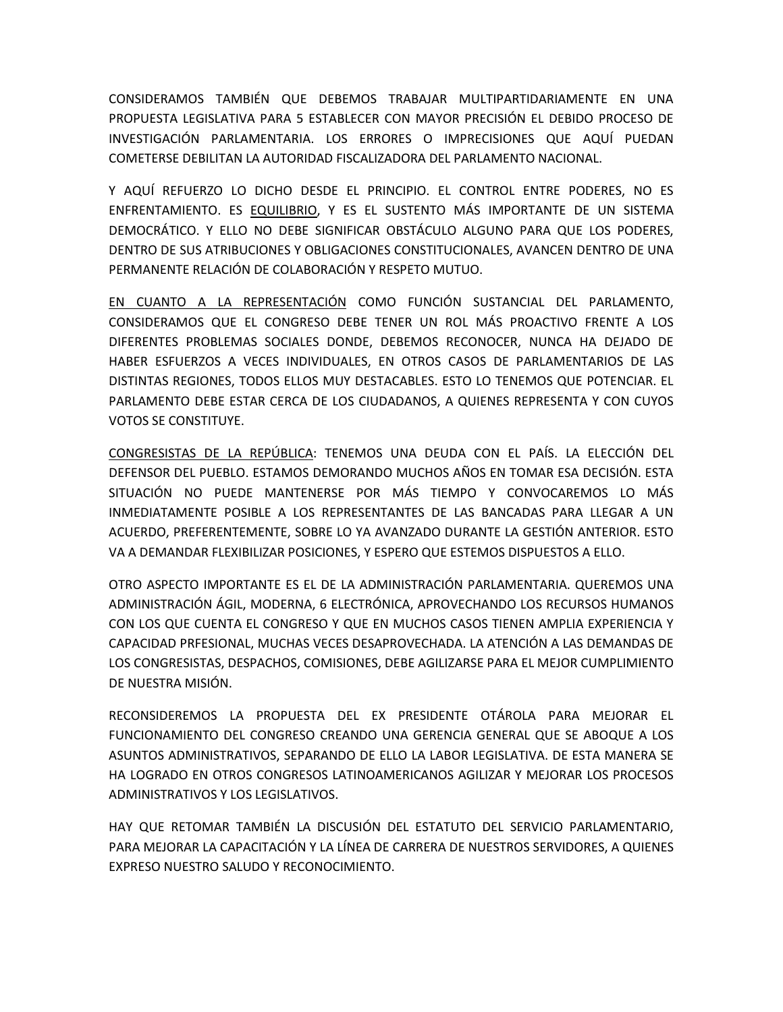CONSIDERAMOS TAMBIÉN QUE DEBEMOS TRABAJAR MULTIPARTIDARIAMENTE EN UNA PROPUESTA LEGISLATIVA PARA 5 ESTABLECER CON MAYOR PRECISIÓN EL DEBIDO PROCESO DE INVESTIGACIÓN PARLAMENTARIA. LOS ERRORES O IMPRECISIONES QUE AQUÍ PUEDAN COMETERSE DEBILITAN LA AUTORIDAD FISCALIZADORA DEL PARLAMENTO NACIONAL.

Y AQUÍ REFUERZO LO DICHO DESDE EL PRINCIPIO. EL CONTROL ENTRE PODERES, NO ES ENFRENTAMIENTO. ES EQUILIBRIO, Y ES EL SUSTENTO MÁS IMPORTANTE DE UN SISTEMA DEMOCRÁTICO. Y ELLO NO DEBE SIGNIFICAR OBSTÁCULO ALGUNO PARA QUE LOS PODERES, DENTRO DE SUS ATRIBUCIONES Y OBLIGACIONES CONSTITUCIONALES, AVANCEN DENTRO DE UNA PERMANENTE RELACIÓN DE COLABORACIÓN Y RESPETO MUTUO.

EN CUANTO A LA REPRESENTACIÓN COMO FUNCIÓN SUSTANCIAL DEL PARLAMENTO, CONSIDERAMOS QUE EL CONGRESO DEBE TENER UN ROL MÁS PROACTIVO FRENTE A LOS DIFERENTES PROBLEMAS SOCIALES DONDE, DEBEMOS RECONOCER, NUNCA HA DEJADO DE HABER ESFUERZOS A VECES INDIVIDUALES, EN OTROS CASOS DE PARLAMENTARIOS DE LAS DISTINTAS REGIONES, TODOS ELLOS MUY DESTACABLES. ESTO LO TENEMOS QUE POTENCIAR. EL PARLAMENTO DEBE ESTAR CERCA DE LOS CIUDADANOS, A QUIENES REPRESENTA Y CON CUYOS VOTOS SE CONSTITUYE.

CONGRESISTAS DE LA REPÚBLICA: TENEMOS UNA DEUDA CON EL PAÍS. LA ELECCIÓN DEL DEFENSOR DEL PUEBLO. ESTAMOS DEMORANDO MUCHOS AÑOS EN TOMAR ESA DECISIÓN. ESTA SITUACIÓN NO PUEDE MANTENERSE POR MÁS TIEMPO Y CONVOCAREMOS LO MÁS INMEDIATAMENTE POSIBLE A LOS REPRESENTANTES DE LAS BANCADAS PARA LLEGAR A UN ACUERDO, PREFERENTEMENTE, SOBRE LO YA AVANZADO DURANTE LA GESTIÓN ANTERIOR. ESTO VA A DEMANDAR FLEXIBILIZAR POSICIONES, Y ESPERO QUE ESTEMOS DISPUESTOS A ELLO.

OTRO ASPECTO IMPORTANTE ES EL DE LA ADMINISTRACIÓN PARLAMENTARIA. QUEREMOS UNA ADMINISTRACIÓN ÁGIL, MODERNA, 6 ELECTRÓNICA, APROVECHANDO LOS RECURSOS HUMANOS CON LOS QUE CUENTA EL CONGRESO Y QUE EN MUCHOS CASOS TIENEN AMPLIA EXPERIENCIA Y CAPACIDAD PRFESIONAL, MUCHAS VECES DESAPROVECHADA. LA ATENCIÓN A LAS DEMANDAS DE LOS CONGRESISTAS, DESPACHOS, COMISIONES, DEBE AGILIZARSE PARA EL MEJOR CUMPLIMIENTO DE NUESTRA MISIÓN.

RECONSIDEREMOS LA PROPUESTA DEL EX PRESIDENTE OTÁROLA PARA MEJORAR EL FUNCIONAMIENTO DEL CONGRESO CREANDO UNA GERENCIA GENERAL QUE SE ABOQUE A LOS ASUNTOS ADMINISTRATIVOS, SEPARANDO DE ELLO LA LABOR LEGISLATIVA. DE ESTA MANERA SE HA LOGRADO EN OTROS CONGRESOS LATINOAMERICANOS AGILIZAR Y MEJORAR LOS PROCESOS ADMINISTRATIVOS Y LOS LEGISLATIVOS.

HAY QUE RETOMAR TAMBIÉN LA DISCUSIÓN DEL ESTATUTO DEL SERVICIO PARLAMENTARIO, PARA MEJORAR LA CAPACITACIÓN Y LA LÍNEA DE CARRERA DE NUESTROS SERVIDORES, A QUIENES EXPRESO NUESTRO SALUDO Y RECONOCIMIENTO.